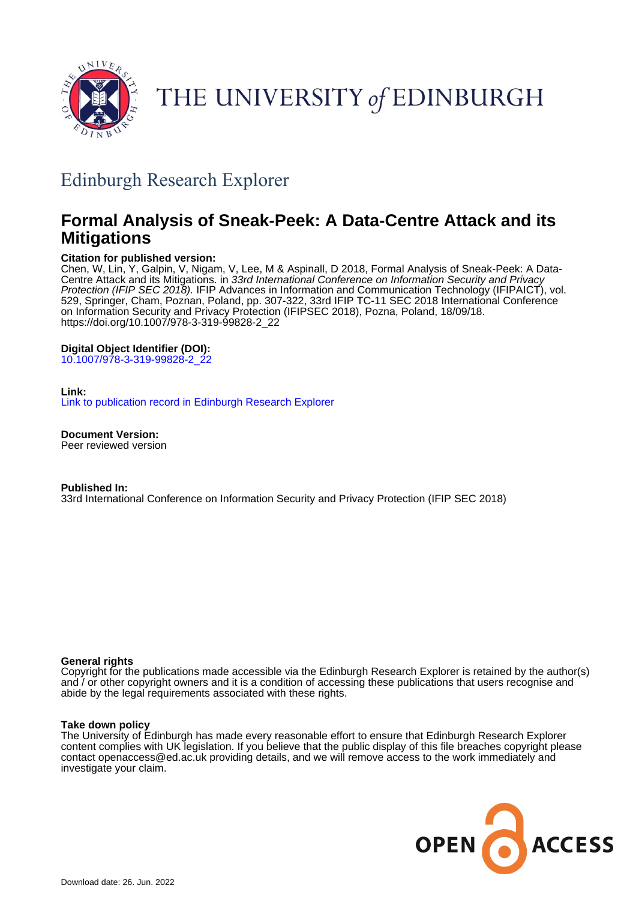

THE UNIVERSITY of EDINBURGH

# Edinburgh Research Explorer

## **Formal Analysis of Sneak-Peek: A Data-Centre Attack and its Mitigations**

## **Citation for published version:**

Chen, W, Lin, Y, Galpin, V, Nigam, V, Lee, M & Aspinall, D 2018, Formal Analysis of Sneak-Peek: A Data-Centre Attack and its Mitigations. in 33rd International Conference on Information Security and Privacy Protection (IFIP SEC 2018). IFIP Advances in Information and Communication Technology (IFIPAICT), vol. 529, Springer, Cham, Poznan, Poland, pp. 307-322, 33rd IFIP TC-11 SEC 2018 International Conference on Information Security and Privacy Protection (IFIPSEC 2018), Pozna, Poland, 18/09/18. [https://doi.org/10.1007/978-3-319-99828-2\\_22](https://doi.org/10.1007/978-3-319-99828-2_22)

## **Digital Object Identifier (DOI):**

[10.1007/978-3-319-99828-2\\_22](https://doi.org/10.1007/978-3-319-99828-2_22)

## **Link:**

[Link to publication record in Edinburgh Research Explorer](https://www.research.ed.ac.uk/en/publications/dc5c7cd3-74e0-4dad-8035-2c964be2373f)

**Document Version:** Peer reviewed version

**Published In:** 33rd International Conference on Information Security and Privacy Protection (IFIP SEC 2018)

## **General rights**

Copyright for the publications made accessible via the Edinburgh Research Explorer is retained by the author(s) and / or other copyright owners and it is a condition of accessing these publications that users recognise and abide by the legal requirements associated with these rights.

### **Take down policy**

The University of Edinburgh has made every reasonable effort to ensure that Edinburgh Research Explorer content complies with UK legislation. If you believe that the public display of this file breaches copyright please contact openaccess@ed.ac.uk providing details, and we will remove access to the work immediately and investigate your claim.

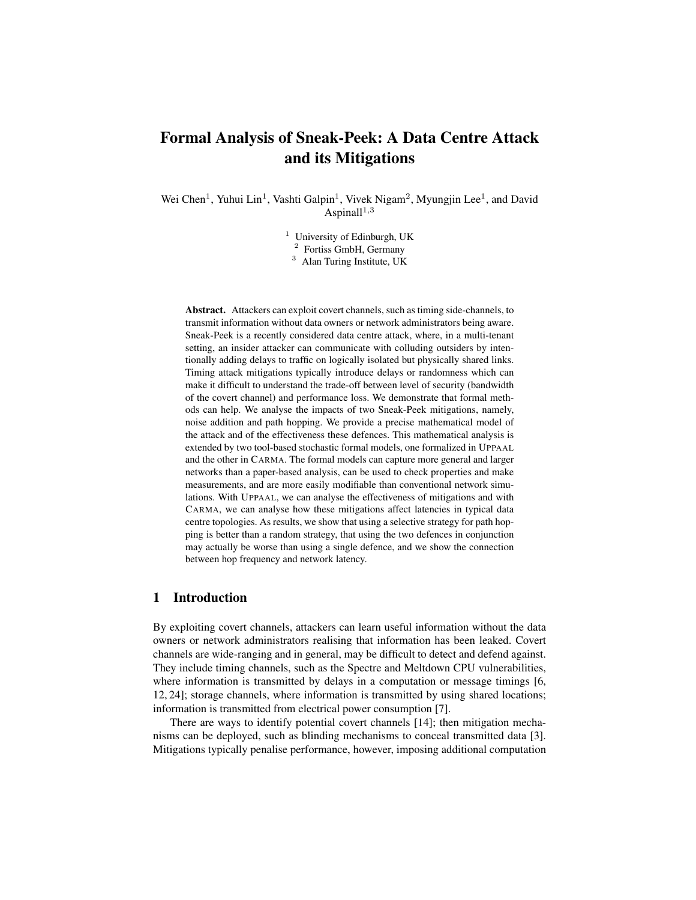## Formal Analysis of Sneak-Peek: A Data Centre Attack and its Mitigations

Wei Chen<sup>1</sup>, Yuhui Lin<sup>1</sup>, Vashti Galpin<sup>1</sup>, Vivek Nigam<sup>2</sup>, Myungjin Lee<sup>1</sup>, and David Aspinall $1,3$ 

<sup>1</sup> University of Edinburgh, UK

<sup>2</sup> Fortiss GmbH, Germany

<sup>3</sup> Alan Turing Institute, UK

Abstract. Attackers can exploit covert channels, such as timing side-channels, to transmit information without data owners or network administrators being aware. Sneak-Peek is a recently considered data centre attack, where, in a multi-tenant setting, an insider attacker can communicate with colluding outsiders by intentionally adding delays to traffic on logically isolated but physically shared links. Timing attack mitigations typically introduce delays or randomness which can make it difficult to understand the trade-off between level of security (bandwidth of the covert channel) and performance loss. We demonstrate that formal methods can help. We analyse the impacts of two Sneak-Peek mitigations, namely, noise addition and path hopping. We provide a precise mathematical model of the attack and of the effectiveness these defences. This mathematical analysis is extended by two tool-based stochastic formal models, one formalized in UPPAAL and the other in CARMA. The formal models can capture more general and larger networks than a paper-based analysis, can be used to check properties and make measurements, and are more easily modifiable than conventional network simulations. With UPPAAL, we can analyse the effectiveness of mitigations and with CARMA, we can analyse how these mitigations affect latencies in typical data centre topologies. As results, we show that using a selective strategy for path hopping is better than a random strategy, that using the two defences in conjunction may actually be worse than using a single defence, and we show the connection between hop frequency and network latency.

## 1 Introduction

By exploiting covert channels, attackers can learn useful information without the data owners or network administrators realising that information has been leaked. Covert channels are wide-ranging and in general, may be difficult to detect and defend against. They include timing channels, such as the Spectre and Meltdown CPU vulnerabilities, where information is transmitted by delays in a computation or message timings [6, 12, 24]; storage channels, where information is transmitted by using shared locations; information is transmitted from electrical power consumption [7].

There are ways to identify potential covert channels [14]; then mitigation mechanisms can be deployed, such as blinding mechanisms to conceal transmitted data [3]. Mitigations typically penalise performance, however, imposing additional computation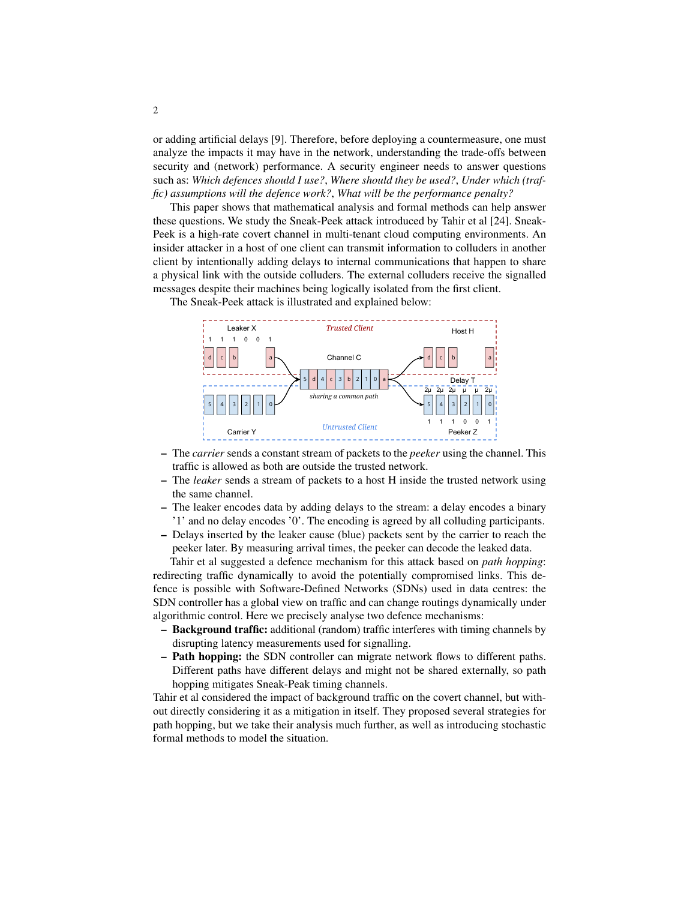or adding artificial delays [9]. Therefore, before deploying a countermeasure, one must analyze the impacts it may have in the network, understanding the trade-offs between security and (network) performance. A security engineer needs to answer questions such as: *Which defences should I use?*, *Where should they be used?*, *Under which (traffic) assumptions will the defence work?*, *What will be the performance penalty?*

This paper shows that mathematical analysis and formal methods can help answer these questions. We study the Sneak-Peek attack introduced by Tahir et al [24]. Sneak-Peek is a high-rate covert channel in multi-tenant cloud computing environments. An insider attacker in a host of one client can transmit information to colluders in another client by intentionally adding delays to internal communications that happen to share a physical link with the outside colluders. The external colluders receive the signalled messages despite their machines being logically isolated from the first client.

The Sneak-Peek attack is illustrated and explained below:



- The *carrier* sends a constant stream of packets to the *peeker* using the channel. This traffic is allowed as both are outside the trusted network.
- The *leaker* sends a stream of packets to a host H inside the trusted network using the same channel.
- The leaker encodes data by adding delays to the stream: a delay encodes a binary '1' and no delay encodes '0'. The encoding is agreed by all colluding participants.
- Delays inserted by the leaker cause (blue) packets sent by the carrier to reach the peeker later. By measuring arrival times, the peeker can decode the leaked data.

Tahir et al suggested a defence mechanism for this attack based on *path hopping*: redirecting traffic dynamically to avoid the potentially compromised links. This defence is possible with Software-Defined Networks (SDNs) used in data centres: the SDN controller has a global view on traffic and can change routings dynamically under algorithmic control. Here we precisely analyse two defence mechanisms:

- Background traffic: additional (random) traffic interferes with timing channels by disrupting latency measurements used for signalling.
- Path hopping: the SDN controller can migrate network flows to different paths. Different paths have different delays and might not be shared externally, so path hopping mitigates Sneak-Peak timing channels.

Tahir et al considered the impact of background traffic on the covert channel, but without directly considering it as a mitigation in itself. They proposed several strategies for path hopping, but we take their analysis much further, as well as introducing stochastic formal methods to model the situation.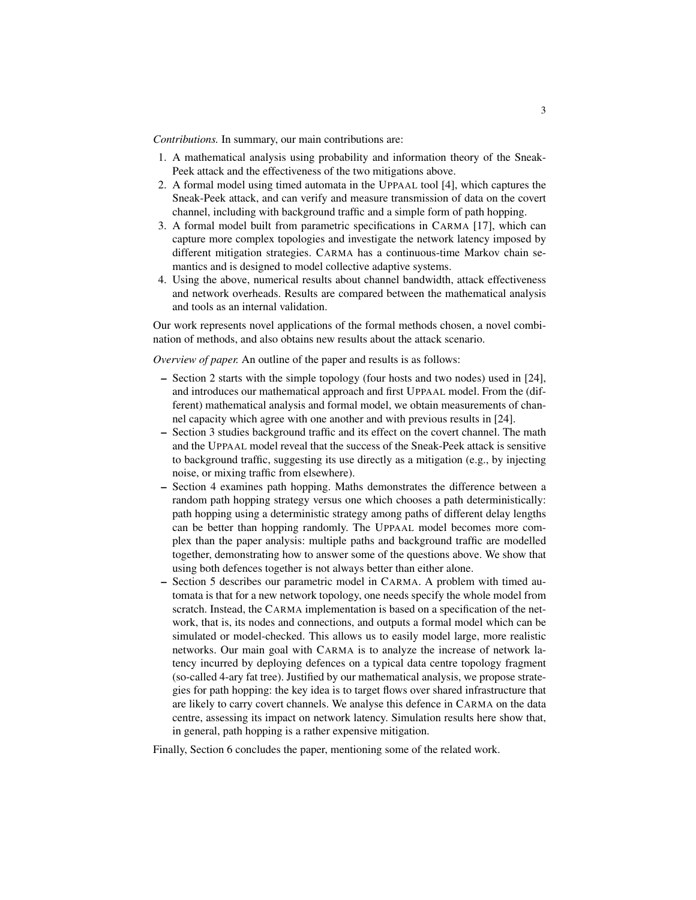*Contributions.* In summary, our main contributions are:

- 1. A mathematical analysis using probability and information theory of the Sneak-Peek attack and the effectiveness of the two mitigations above.
- 2. A formal model using timed automata in the UPPAAL tool [4], which captures the Sneak-Peek attack, and can verify and measure transmission of data on the covert channel, including with background traffic and a simple form of path hopping.
- 3. A formal model built from parametric specifications in CARMA [17], which can capture more complex topologies and investigate the network latency imposed by different mitigation strategies. CARMA has a continuous-time Markov chain semantics and is designed to model collective adaptive systems.
- 4. Using the above, numerical results about channel bandwidth, attack effectiveness and network overheads. Results are compared between the mathematical analysis and tools as an internal validation.

Our work represents novel applications of the formal methods chosen, a novel combination of methods, and also obtains new results about the attack scenario.

*Overview of paper.* An outline of the paper and results is as follows:

- Section 2 starts with the simple topology (four hosts and two nodes) used in [24], and introduces our mathematical approach and first UPPAAL model. From the (different) mathematical analysis and formal model, we obtain measurements of channel capacity which agree with one another and with previous results in [24].
- Section 3 studies background traffic and its effect on the covert channel. The math and the UPPAAL model reveal that the success of the Sneak-Peek attack is sensitive to background traffic, suggesting its use directly as a mitigation (e.g., by injecting noise, or mixing traffic from elsewhere).
- Section 4 examines path hopping. Maths demonstrates the difference between a random path hopping strategy versus one which chooses a path deterministically: path hopping using a deterministic strategy among paths of different delay lengths can be better than hopping randomly. The UPPAAL model becomes more complex than the paper analysis: multiple paths and background traffic are modelled together, demonstrating how to answer some of the questions above. We show that using both defences together is not always better than either alone.
- Section 5 describes our parametric model in CARMA. A problem with timed automata is that for a new network topology, one needs specify the whole model from scratch. Instead, the CARMA implementation is based on a specification of the network, that is, its nodes and connections, and outputs a formal model which can be simulated or model-checked. This allows us to easily model large, more realistic networks. Our main goal with CARMA is to analyze the increase of network latency incurred by deploying defences on a typical data centre topology fragment (so-called 4-ary fat tree). Justified by our mathematical analysis, we propose strategies for path hopping: the key idea is to target flows over shared infrastructure that are likely to carry covert channels. We analyse this defence in CARMA on the data centre, assessing its impact on network latency. Simulation results here show that, in general, path hopping is a rather expensive mitigation.

Finally, Section 6 concludes the paper, mentioning some of the related work.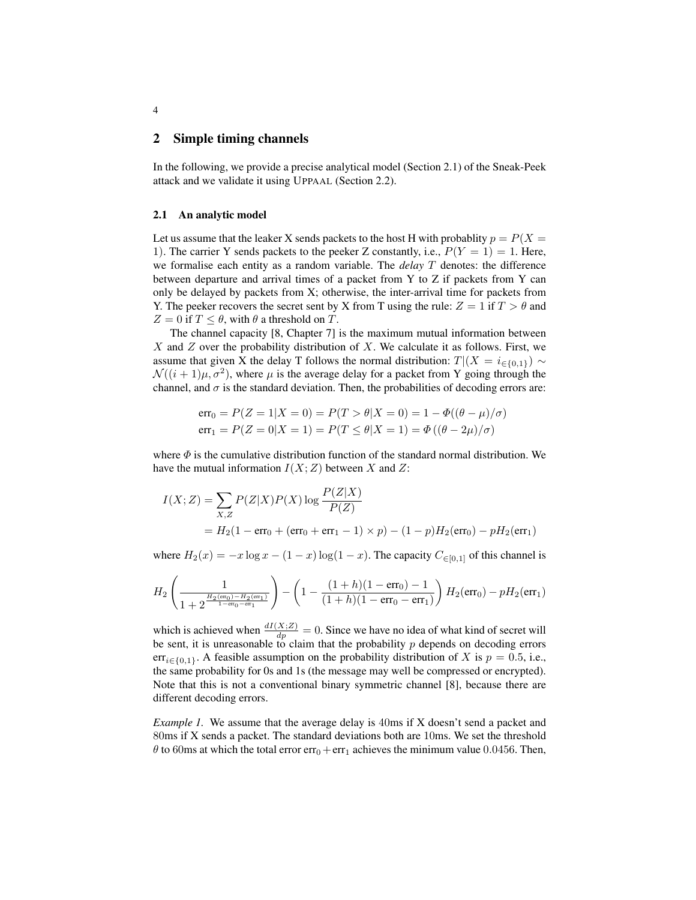### 2 Simple timing channels

In the following, we provide a precise analytical model (Section 2.1) of the Sneak-Peek attack and we validate it using UPPAAL (Section 2.2).

#### 2.1 An analytic model

Let us assume that the leaker X sends packets to the host H with probability  $p = P(X =$ 1). The carrier Y sends packets to the peeker Z constantly, i.e.,  $P(Y = 1) = 1$ . Here, we formalise each entity as a random variable. The *delay* T denotes: the difference between departure and arrival times of a packet from Y to Z if packets from Y can only be delayed by packets from X; otherwise, the inter-arrival time for packets from Y. The peeker recovers the secret sent by X from T using the rule:  $Z = 1$  if  $T > \theta$  and  $Z = 0$  if  $T \le \theta$ , with  $\theta$  a threshold on T.

The channel capacity [8, Chapter 7] is the maximum mutual information between X and Z over the probability distribution of X. We calculate it as follows. First, we assume that given X the delay T follows the normal distribution:  $T|(X = i_{\in \{0,1\}}) \sim$  $\mathcal{N}((i+1)\mu, \sigma^2)$ , where  $\mu$  is the average delay for a packet from Y going through the channel, and  $\sigma$  is the standard deviation. Then, the probabilities of decoding errors are:

$$
err_0 = P(Z = 1|X = 0) = P(T > \theta | X = 0) = 1 - \Phi((\theta - \mu)/\sigma)
$$
  

$$
err_1 = P(Z = 0|X = 1) = P(T \le \theta | X = 1) = \Phi((\theta - 2\mu)/\sigma)
$$

where  $\Phi$  is the cumulative distribution function of the standard normal distribution. We have the mutual information  $I(X;Z)$  between X and Z:

$$
I(X; Z) = \sum_{X,Z} P(Z|X)P(X) \log \frac{P(Z|X)}{P(Z)}
$$
  
=  $H_2(1 - \text{err}_0 + (\text{err}_0 + \text{err}_1 - 1) \times p) - (1 - p)H_2(\text{err}_0) - pH_2(\text{err}_1)$ 

where  $H_2(x) = -x \log x - (1 - x) \log(1 - x)$ . The capacity  $C_{\in [0,1]}$  of this channel is

$$
H_2\left(\frac{1}{1+2^{\frac{H_2(\text{err}_0)-H_2(\text{err}_1)}{1-\text{err}_0-\text{err}_1}}}\right)-\left(1-\frac{(1+h)(1-\text{err}_0)-1}{(1+h)(1-\text{err}_0-\text{err}_1)}\right)H_2(\text{err}_0)-pH_2(\text{err}_1)
$$

which is achieved when  $\frac{dI(X;Z)}{dp} = 0$ . Since we have no idea of what kind of secret will be sent, it is unreasonable to claim that the probability  $p$  depends on decoding errors err<sub>i∈{0,1}</sub>. A feasible assumption on the probability distribution of X is  $p = 0.5$ , i.e., the same probability for 0s and 1s (the message may well be compressed or encrypted). Note that this is not a conventional binary symmetric channel [8], because there are different decoding errors.

*Example 1.* We assume that the average delay is 40ms if X doesn't send a packet and 80ms if X sends a packet. The standard deviations both are 10ms. We set the threshold  $\theta$  to 60ms at which the total error err<sub>0</sub> + err<sub>1</sub> achieves the minimum value 0.0456. Then,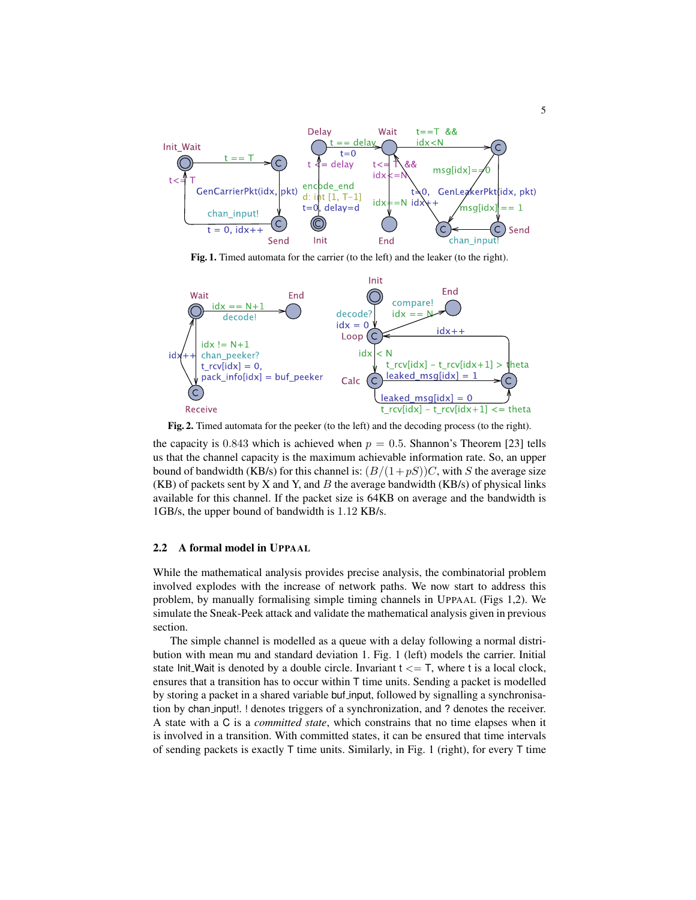

Fig. 1. Timed automata for the carrier (to the left) and the leaker (to the right).



Fig. 2. Timed automata for the peeker (to the left) and the decoding process (to the right).

the capacity is 0.843 which is achieved when  $p = 0.5$ . Shannon's Theorem [23] tells us that the channel capacity is the maximum achievable information rate. So, an upper bound of bandwidth (KB/s) for this channel is:  $(B/(1+pS))C$ , with S the average size  $(KB)$  of packets sent by X and Y, and B the average bandwidth  $(KB/s)$  of physical links available for this channel. If the packet size is 64KB on average and the bandwidth is 1GB/s, the upper bound of bandwidth is 1.12 KB/s.

#### 2.2 A formal model in UPPAAL

While the mathematical analysis provides precise analysis, the combinatorial problem involved explodes with the increase of network paths. We now start to address this problem, by manually formalising simple timing channels in UPPAAL (Figs 1,2). We simulate the Sneak-Peek attack and validate the mathematical analysis given in previous section.

The simple channel is modelled as a queue with a delay following a normal distribution with mean mu and standard deviation 1. Fig. 1 (left) models the carrier. Initial state Init Wait is denoted by a double circle. Invariant  $t \leq T$ , where t is a local clock, ensures that a transition has to occur within T time units. Sending a packet is modelled by storing a packet in a shared variable buf input, followed by signalling a synchronisation by chan input!. ! denotes triggers of a synchronization, and ? denotes the receiver. A state with a C is a *committed state*, which constrains that no time elapses when it is involved in a transition. With committed states, it can be ensured that time intervals of sending packets is exactly T time units. Similarly, in Fig. 1 (right), for every T time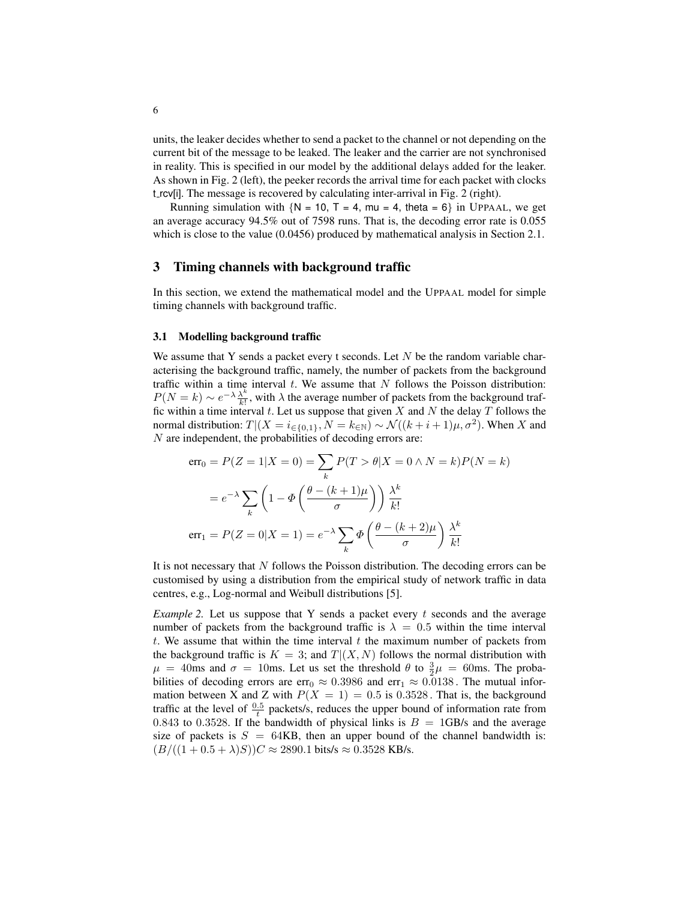units, the leaker decides whether to send a packet to the channel or not depending on the current bit of the message to be leaked. The leaker and the carrier are not synchronised in reality. This is specified in our model by the additional delays added for the leaker. As shown in Fig. 2 (left), the peeker records the arrival time for each packet with clocks t rcv[i]. The message is recovered by calculating inter-arrival in Fig. 2 (right).

Running simulation with  $\{N = 10, T = 4, mu = 4, \text{theta} = 6\}$  in UPPAAL, we get an average accuracy 94.5% out of 7598 runs. That is, the decoding error rate is 0.055 which is close to the value (0.0456) produced by mathematical analysis in Section 2.1.

## 3 Timing channels with background traffic

In this section, we extend the mathematical model and the UPPAAL model for simple timing channels with background traffic.

#### 3.1 Modelling background traffic

We assume that Y sends a packet every t seconds. Let  $N$  be the random variable characterising the background traffic, namely, the number of packets from the background traffic within a time interval  $t$ . We assume that  $N$  follows the Poisson distribution:  $P(N = k) \sim e^{-\lambda} \frac{\lambda^k}{k!}$  $\frac{\lambda^{\infty}}{k!}$ , with  $\lambda$  the average number of packets from the background traffic within a time interval  $t$ . Let us suppose that given  $X$  and  $N$  the delay  $T$  follows the normal distribution:  $T|(X = i_{\in \{0,1\}}, N = k_{\in \mathbb{N}}) \sim \mathcal{N}((k+i+1)\mu, \sigma^2)$ . When X and N are independent, the probabilities of decoding errors are:

$$
err_0 = P(Z = 1|X = 0) = \sum_k P(T > \theta|X = 0 \land N = k)P(N = k)
$$

$$
= e^{-\lambda} \sum_k \left(1 - \Phi\left(\frac{\theta - (k+1)\mu}{\sigma}\right)\right) \frac{\lambda^k}{k!}
$$

$$
err_1 = P(Z = 0|X = 1) = e^{-\lambda} \sum_k \Phi\left(\frac{\theta - (k+2)\mu}{\sigma}\right) \frac{\lambda^k}{k!}
$$

It is not necessary that N follows the Poisson distribution. The decoding errors can be customised by using a distribution from the empirical study of network traffic in data centres, e.g., Log-normal and Weibull distributions [5].

*Example 2.* Let us suppose that Y sends a packet every  $t$  seconds and the average number of packets from the background traffic is  $\lambda = 0.5$  within the time interval t. We assume that within the time interval  $t$  the maximum number of packets from the background traffic is  $K = 3$ ; and  $T|(X, N)$  follows the normal distribution with  $\mu = 40$ ms and  $\sigma = 10$ ms. Let us set the threshold  $\theta$  to  $\frac{3}{2}\mu = 60$ ms. The probabilities of decoding errors are  $err_0 \approx 0.3986$  and  $err_1 \approx 0.0138$ . The mutual information between X and Z with  $P(X = 1) = 0.5$  is 0.3528. That is, the background traffic at the level of  $\frac{0.5}{t}$  packets/s, reduces the upper bound of information rate from 0.843 to 0.3528. If the bandwidth of physical links is  $B = 1$ GB/s and the average size of packets is  $S = 64KB$ , then an upper bound of the channel bandwidth is:  $(B/((1+0.5+\lambda)S))C \approx 2890.1$  bits/s  $\approx 0.3528$  KB/s.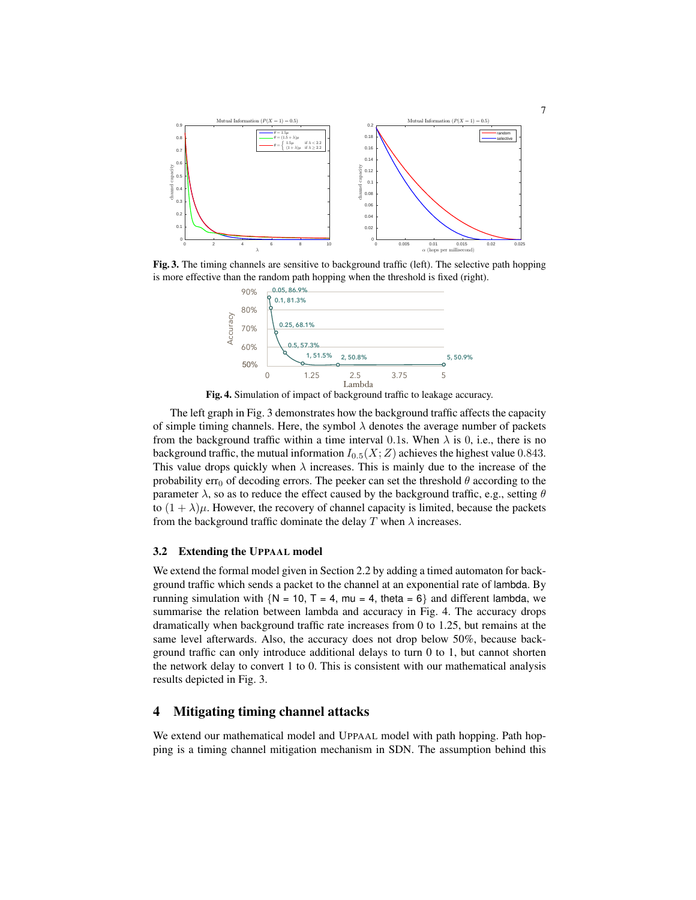

Fig. 3. The timing channels are sensitive to background traffic (left). The selective path hopping is more effective than the random path hopping when the threshold is fixed (right).



Fig. 4. Simulation of impact of background traffic to leakage accuracy.

This value drops quickly when  $\lambda$  increases. This is mainly due to the increase of the parameter  $\lambda$ , so as to reduce the effect caused by the background traffic, e.g., setting  $\theta$ to  $(1 + \lambda)\mu$ . However, the recovery of channel capacity is limited, because the packets from the background traffic dominate the delay T when  $\lambda$  increases. The left graph in Fig. 3 demonstrates how the background traffic affects the capacity of simple timing channels. Here, the symbol  $\lambda$  denotes the average number of packets from the background traffic within a time interval 0.1s. When  $\lambda$  is 0, i.e., there is no background traffic, the mutual information  $I_{0.5}(X;Z)$  achieves the highest value 0.843. probability err<sub>0</sub> of decoding errors. The peeker can set the threshold  $\theta$  according to the

#### **Avr.** 9.1 8.4 6.9 5.7 5.1 5.0 4.9 3.2 Extending the UPPAAL model

We extend the formal model given in Section 2.2 by adding a timed automaton for background traffic which sends a packet to the channel at an exponential rate of lambda. By running simulation with  $\{N = 10, T = 4, mu = 4, \text{theta} = 6\}$  and different lambda, we summarise the relation between lambda and accuracy in Fig. 4. The accuracy drops same level afterwards. Also, the accuracy does not drop below 50%, because backdramatically when background traffic rate increases from 0 to 1.25, but remains at the ground traffic can only introduce additional delays to turn 0 to 1, but cannot shorten the network delay to convert 1 to 0. This is consistent with our mathematical analysis results depicted in Fig. 3.

## **Trehold** 1 1.25 1.5 1.75 2 2.25 2.5 3 4 Mitigating timing channel attacks

We extend our mathematical model and UPPAAL model with path hopping. Path hopping is a timing channel mitigation mechanism in SDN. The assumption behind this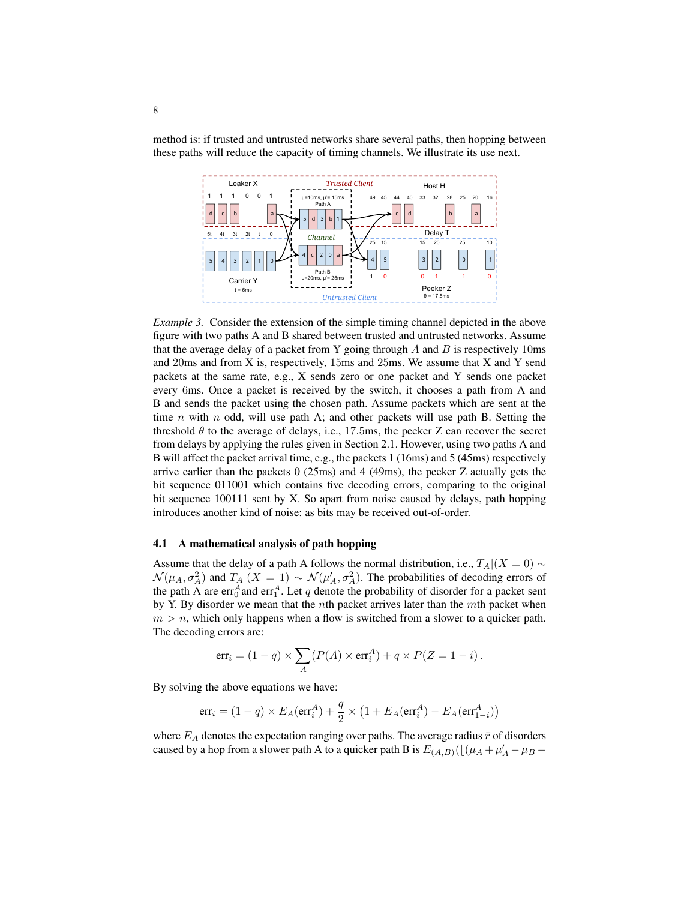method is: if trusted and untrusted networks share several paths, then hopping between these paths will reduce the capacity of timing channels. We illustrate its use next.



*Example 3.* Consider the extension of the simple timing channel depicted in the above figure with two paths A and B shared between trusted and untrusted networks. Assume that the average delay of a packet from Y going through  $A$  and  $B$  is respectively 10ms and 20ms and from X is, respectively, 15ms and 25ms. We assume that X and Y send packets at the same rate, e.g., X sends zero or one packet and Y sends one packet every 6ms. Once a packet is received by the switch, it chooses a path from A and B and sends the packet using the chosen path. Assume packets which are sent at the time n with n odd, will use path A; and other packets will use path B. Setting the threshold  $\theta$  to the average of delays, i.e., 17.5ms, the peeker Z can recover the secret from delays by applying the rules given in Section 2.1. However, using two paths A and B will affect the packet arrival time, e.g., the packets 1 (16ms) and 5 (45ms) respectively arrive earlier than the packets 0 (25ms) and 4 (49ms), the peeker Z actually gets the bit sequence 011001 which contains five decoding errors, comparing to the original bit sequence 100111 sent by X. So apart from noise caused by delays, path hopping introduces another kind of noise: as bits may be received out-of-order.

#### 4.1 A mathematical analysis of path hopping

Assume that the delay of a path A follows the normal distribution, i.e.,  $T_A|(X=0) \sim$  $\mathcal{N}(\mu_A, \sigma_A^2)$  and  $T_A|(X = 1) \sim \mathcal{N}(\mu_A', \sigma_A^2)$ . The probabilities of decoding errors of the path A are  $err_0^A$  and  $err_1^A$ . Let q denote the probability of disorder for a packet sent by Y. By disorder we mean that the *n*th packet arrives later than the  $m$ th packet when  $m > n$ , which only happens when a flow is switched from a slower to a quicker path. The decoding errors are:

$$
err_i = (1 - q) \times \sum_A (P(A) \times err_i^A) + q \times P(Z = 1 - i).
$$

By solving the above equations we have:

$$
\text{err}_i = (1-q) \times E_A(\text{err}_i^A) + \frac{q}{2} \times \left(1 + E_A(\text{err}_i^A) - E_A(\text{err}_{1-i}^A)\right)
$$

where  $E_A$  denotes the expectation ranging over paths. The average radius  $\bar{r}$  of disorders caused by a hop from a slower path A to a quicker path B is  $E_{(A,B)}(\lfloor(\mu_A + \mu_A' - \mu_B - \mu_B) \rfloor)$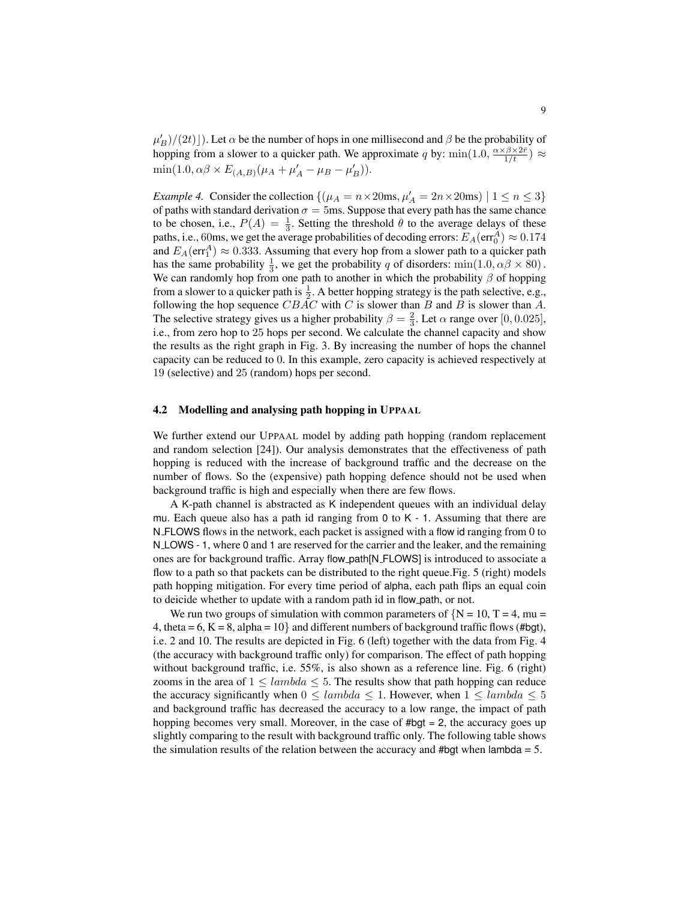$\mu_B'$ )/(2t)]). Let  $\alpha$  be the number of hops in one millisecond and  $\beta$  be the probability of hopping from a slower to a quicker path. We approximate q by:  $\min(1.0, \frac{\alpha \times \beta \times 2\bar{r}}{1/t}) \approx$  $\min(1.0, \alpha\beta \times E_{(A,B)}(\mu_A + \mu'_A - \mu_B - \mu'_B)).$ 

*Example 4.* Consider the collection  $\{(\mu_A = n \times 20 \text{ms}, \mu_A' = 2n \times 20 \text{ms}) \mid 1 \le n \le 3\}$ of paths with standard derivation  $\sigma = 5$ ms. Suppose that every path has the same chance to be chosen, i.e.,  $P(A) = \frac{1}{3}$ . Setting the threshold  $\theta$  to the average delays of these paths, i.e., 60ms, we get the average probabilities of decoding errors:  $E_A(\text{err}_0^A) \approx 0.174$ and  $E_A(\text{err}_1^A) \approx 0.333$ . Assuming that every hop from a slower path to a quicker path has the same probability  $\frac{1}{3}$ , we get the probability q of disorders:  $\min(1.0, \alpha\beta \times 80)$ . We can randomly hop from one path to another in which the probability  $\beta$  of hopping from a slower to a quicker path is  $\frac{1}{2}$ . A better hopping strategy is the path selective, e.g., following the hop sequence  $CBAC$  with C is slower than B and B is slower than A. The selective strategy gives us a higher probability  $\beta = \frac{2}{3}$ . Let  $\alpha$  range over [0, 0.025], i.e., from zero hop to 25 hops per second. We calculate the channel capacity and show the results as the right graph in Fig. 3. By increasing the number of hops the channel capacity can be reduced to 0. In this example, zero capacity is achieved respectively at 19 (selective) and 25 (random) hops per second.

#### 4.2 Modelling and analysing path hopping in UPPAAL

We further extend our UPPAAL model by adding path hopping (random replacement and random selection [24]). Our analysis demonstrates that the effectiveness of path hopping is reduced with the increase of background traffic and the decrease on the number of flows. So the (expensive) path hopping defence should not be used when background traffic is high and especially when there are few flows.

A K-path channel is abstracted as K independent queues with an individual delay mu. Each queue also has a path id ranging from 0 to K - 1. Assuming that there are N FLOWS flows in the network, each packet is assigned with a flow id ranging from 0 to N LOWS - 1, where 0 and 1 are reserved for the carrier and the leaker, and the remaining ones are for background traffic. Array flow path[N FLOWS] is introduced to associate a flow to a path so that packets can be distributed to the right queue.Fig. 5 (right) models path hopping mitigation. For every time period of alpha, each path flips an equal coin to deicide whether to update with a random path id in flow path, or not.

We run two groups of simulation with common parameters of  ${N = 10, T = 4, mu =}$ 4, theta = 6, K = 8, alpha = 10} and different numbers of background traffic flows (#bqt), i.e. 2 and 10. The results are depicted in Fig. 6 (left) together with the data from Fig. 4 (the accuracy with background traffic only) for comparison. The effect of path hopping without background traffic, i.e. 55%, is also shown as a reference line. Fig. 6 (right) zooms in the area of  $1 \leq lambda \leq 5$ . The results show that path hopping can reduce the accuracy significantly when  $0 \leq$  lambda  $\leq$  1. However, when  $1 \leq$  lambda  $\leq$  5 and background traffic has decreased the accuracy to a low range, the impact of path hopping becomes very small. Moreover, in the case of #bgt = 2, the accuracy goes up slightly comparing to the result with background traffic only. The following table shows the simulation results of the relation between the accuracy and #bgt when lambda = 5.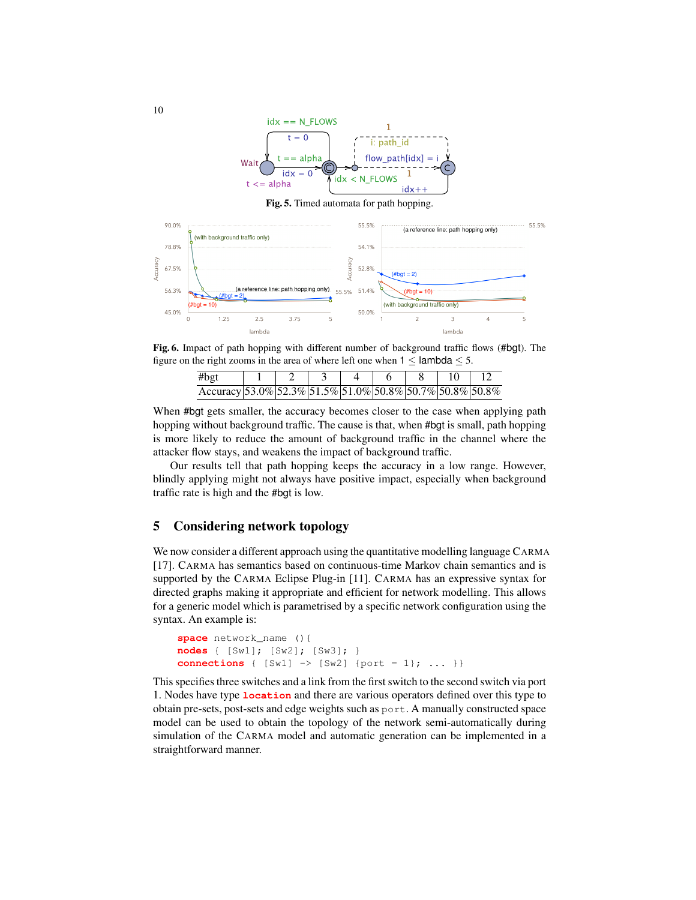

Fig. 6. Impact of path hopping with different number of background traffic flows (#bqt). The figure on the right zooms in the area of where left one when  $1 \leq$  lambda  $\leq 5$ .

50.0%

lambda  $1 \qquad 2 \qquad 3 \qquad 4 \qquad 5$ 

(with background traffic only)

55.5%

| #bgt -                                                   | $1 \t 2 \t 3 \t 4 \t 6 \t 8 \t 10 \t 12$ |  |  |  |
|----------------------------------------------------------|------------------------------------------|--|--|--|
| Accuracy 53.0% 52.3% 51.5% 51.0% 50.8% 50.7% 50.8% 50.8% |                                          |  |  |  |

When #bgt gets smaller, the accuracy becomes closer to the case when applying path hopping without background traffic. The cause is that, when #bgt is small, path hopping is more likely to reduce the amount of background traffic in the channel where the attacker flow stays, and weakens the impact of background traffic.

Our results tell that path hopping keeps the accuracy in a low range. However, blindly applying might not always have positive impact, especially when background traffic rate is high and the #bgt is low.

## 5 Considering network topology

lambda 0 1.25 2.5 3.75 5

We now consider a different approach using the quantitative modelling language CARMA [17]. CARMA has semantics based on continuous-time Markov chain semantics and is supported by the CARMA Eclipse Plug-in [11]. CARMA has an expressive syntax for directed graphs making it appropriate and efficient for network modelling. This allows for a generic model which is parametrised by a specific network configuration using the syntax. An example is:

```
space network_name (){
nodes { [Sw1]; [Sw2]; [Sw3]; }
connections { [Sw1] \rightarrow [Sw2] {port = 1}; ... }}
```
This specifies three switches and a link from the first switch to the second switch via port 1. Nodes have type **location** and there are various operators defined over this type to obtain pre-sets, post-sets and edge weights such as port. A manually constructed space model can be used to obtain the topology of the network semi-automatically during simulation of the CARMA model and automatic generation can be implemented in a straightforward manner.

CCULLY

45.0%

 $(Hbgt = 10)$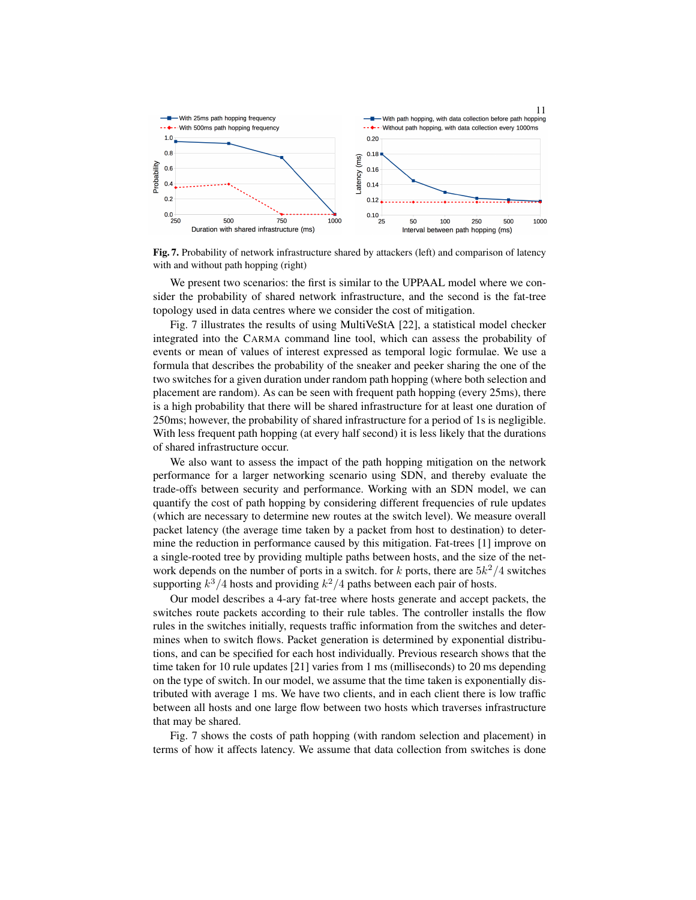

Fig. 7. Probability of network infrastructure shared by attackers (left) and comparison of latency with and without path hopping (right)

We present two scenarios: the first is similar to the UPPAAL model where we consider the probability of shared network infrastructure, and the second is the fat-tree topology used in data centres where we consider the cost of mitigation.

Fig. 7 illustrates the results of using MultiVeStA [22], a statistical model checker integrated into the CARMA command line tool, which can assess the probability of events or mean of values of interest expressed as temporal logic formulae. We use a formula that describes the probability of the sneaker and peeker sharing the one of the two switches for a given duration under random path hopping (where both selection and placement are random). As can be seen with frequent path hopping (every 25ms), there is a high probability that there will be shared infrastructure for at least one duration of 250ms; however, the probability of shared infrastructure for a period of 1s is negligible. With less frequent path hopping (at every half second) it is less likely that the durations of shared infrastructure occur.

We also want to assess the impact of the path hopping mitigation on the network performance for a larger networking scenario using SDN, and thereby evaluate the trade-offs between security and performance. Working with an SDN model, we can quantify the cost of path hopping by considering different frequencies of rule updates (which are necessary to determine new routes at the switch level). We measure overall packet latency (the average time taken by a packet from host to destination) to determine the reduction in performance caused by this mitigation. Fat-trees [1] improve on a single-rooted tree by providing multiple paths between hosts, and the size of the network depends on the number of ports in a switch. for k ports, there are  $5k^2/4$  switches supporting  $k^3/4$  hosts and providing  $k^2/4$  paths between each pair of hosts.

Our model describes a 4-ary fat-tree where hosts generate and accept packets, the switches route packets according to their rule tables. The controller installs the flow rules in the switches initially, requests traffic information from the switches and determines when to switch flows. Packet generation is determined by exponential distributions, and can be specified for each host individually. Previous research shows that the time taken for 10 rule updates [21] varies from 1 ms (milliseconds) to 20 ms depending on the type of switch. In our model, we assume that the time taken is exponentially distributed with average 1 ms. We have two clients, and in each client there is low traffic between all hosts and one large flow between two hosts which traverses infrastructure that may be shared.

Fig. 7 shows the costs of path hopping (with random selection and placement) in terms of how it affects latency. We assume that data collection from switches is done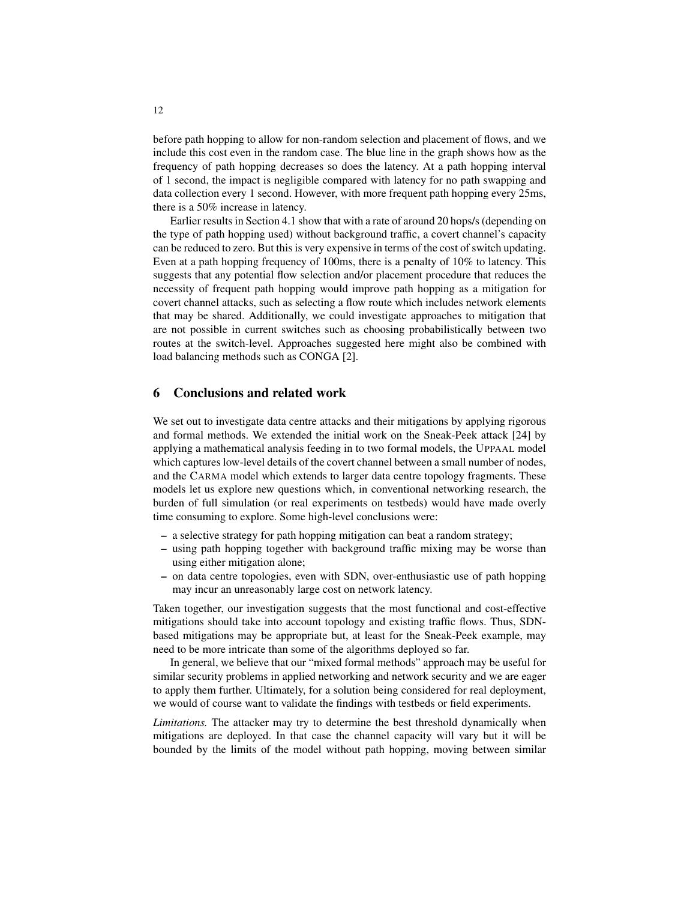before path hopping to allow for non-random selection and placement of flows, and we include this cost even in the random case. The blue line in the graph shows how as the frequency of path hopping decreases so does the latency. At a path hopping interval of 1 second, the impact is negligible compared with latency for no path swapping and data collection every 1 second. However, with more frequent path hopping every 25ms, there is a 50% increase in latency.

Earlier results in Section 4.1 show that with a rate of around 20 hops/s (depending on the type of path hopping used) without background traffic, a covert channel's capacity can be reduced to zero. But this is very expensive in terms of the cost of switch updating. Even at a path hopping frequency of 100ms, there is a penalty of 10% to latency. This suggests that any potential flow selection and/or placement procedure that reduces the necessity of frequent path hopping would improve path hopping as a mitigation for covert channel attacks, such as selecting a flow route which includes network elements that may be shared. Additionally, we could investigate approaches to mitigation that are not possible in current switches such as choosing probabilistically between two routes at the switch-level. Approaches suggested here might also be combined with load balancing methods such as CONGA [2].

## 6 Conclusions and related work

We set out to investigate data centre attacks and their mitigations by applying rigorous and formal methods. We extended the initial work on the Sneak-Peek attack [24] by applying a mathematical analysis feeding in to two formal models, the UPPAAL model which captures low-level details of the covert channel between a small number of nodes, and the CARMA model which extends to larger data centre topology fragments. These models let us explore new questions which, in conventional networking research, the burden of full simulation (or real experiments on testbeds) would have made overly time consuming to explore. Some high-level conclusions were:

- a selective strategy for path hopping mitigation can beat a random strategy;
- using path hopping together with background traffic mixing may be worse than using either mitigation alone;
- on data centre topologies, even with SDN, over-enthusiastic use of path hopping may incur an unreasonably large cost on network latency.

Taken together, our investigation suggests that the most functional and cost-effective mitigations should take into account topology and existing traffic flows. Thus, SDNbased mitigations may be appropriate but, at least for the Sneak-Peek example, may need to be more intricate than some of the algorithms deployed so far.

In general, we believe that our "mixed formal methods" approach may be useful for similar security problems in applied networking and network security and we are eager to apply them further. Ultimately, for a solution being considered for real deployment, we would of course want to validate the findings with testbeds or field experiments.

*Limitations.* The attacker may try to determine the best threshold dynamically when mitigations are deployed. In that case the channel capacity will vary but it will be bounded by the limits of the model without path hopping, moving between similar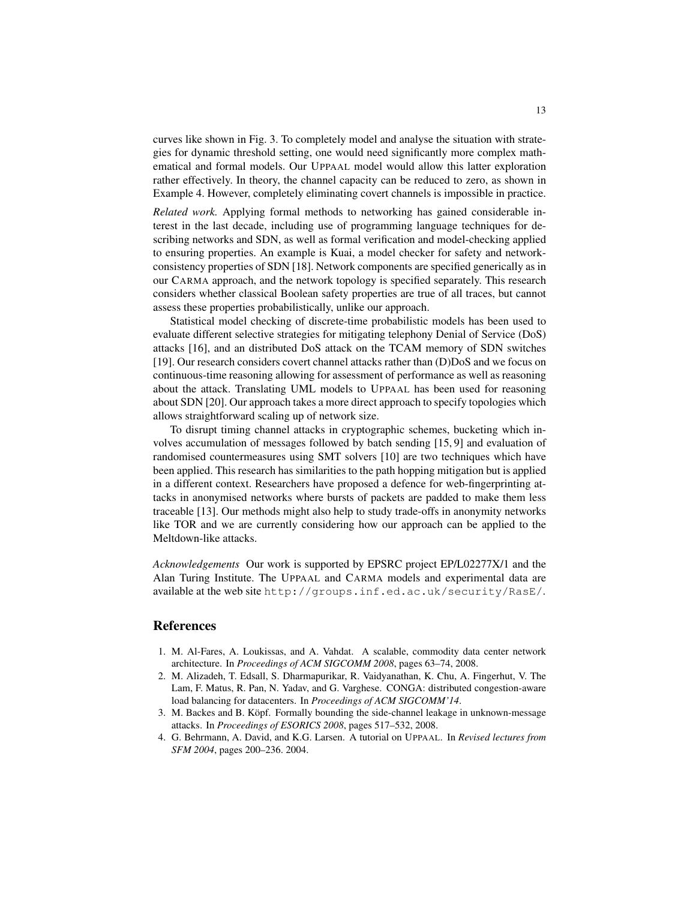curves like shown in Fig. 3. To completely model and analyse the situation with strategies for dynamic threshold setting, one would need significantly more complex mathematical and formal models. Our UPPAAL model would allow this latter exploration rather effectively. In theory, the channel capacity can be reduced to zero, as shown in Example 4. However, completely eliminating covert channels is impossible in practice.

*Related work.* Applying formal methods to networking has gained considerable interest in the last decade, including use of programming language techniques for describing networks and SDN, as well as formal verification and model-checking applied to ensuring properties. An example is Kuai, a model checker for safety and networkconsistency properties of SDN [18]. Network components are specified generically as in our CARMA approach, and the network topology is specified separately. This research considers whether classical Boolean safety properties are true of all traces, but cannot assess these properties probabilistically, unlike our approach.

Statistical model checking of discrete-time probabilistic models has been used to evaluate different selective strategies for mitigating telephony Denial of Service (DoS) attacks [16], and an distributed DoS attack on the TCAM memory of SDN switches [19]. Our research considers covert channel attacks rather than (D)DoS and we focus on continuous-time reasoning allowing for assessment of performance as well as reasoning about the attack. Translating UML models to UPPAAL has been used for reasoning about SDN [20]. Our approach takes a more direct approach to specify topologies which allows straightforward scaling up of network size.

To disrupt timing channel attacks in cryptographic schemes, bucketing which involves accumulation of messages followed by batch sending [15, 9] and evaluation of randomised countermeasures using SMT solvers [10] are two techniques which have been applied. This research has similarities to the path hopping mitigation but is applied in a different context. Researchers have proposed a defence for web-fingerprinting attacks in anonymised networks where bursts of packets are padded to make them less traceable [13]. Our methods might also help to study trade-offs in anonymity networks like TOR and we are currently considering how our approach can be applied to the Meltdown-like attacks.

*Acknowledgements* Our work is supported by EPSRC project EP/L02277X/1 and the Alan Turing Institute. The UPPAAL and CARMA models and experimental data are available at the web site http://groups.inf.ed.ac.uk/security/RasE/.

#### References

- 1. M. Al-Fares, A. Loukissas, and A. Vahdat. A scalable, commodity data center network architecture. In *Proceedings of ACM SIGCOMM 2008*, pages 63–74, 2008.
- 2. M. Alizadeh, T. Edsall, S. Dharmapurikar, R. Vaidyanathan, K. Chu, A. Fingerhut, V. The Lam, F. Matus, R. Pan, N. Yadav, and G. Varghese. CONGA: distributed congestion-aware load balancing for datacenters. In *Proceedings of ACM SIGCOMM'14*.
- 3. M. Backes and B. Köpf. Formally bounding the side-channel leakage in unknown-message attacks. In *Proceedings of ESORICS 2008*, pages 517–532, 2008.
- 4. G. Behrmann, A. David, and K.G. Larsen. A tutorial on UPPAAL. In *Revised lectures from SFM 2004*, pages 200–236. 2004.